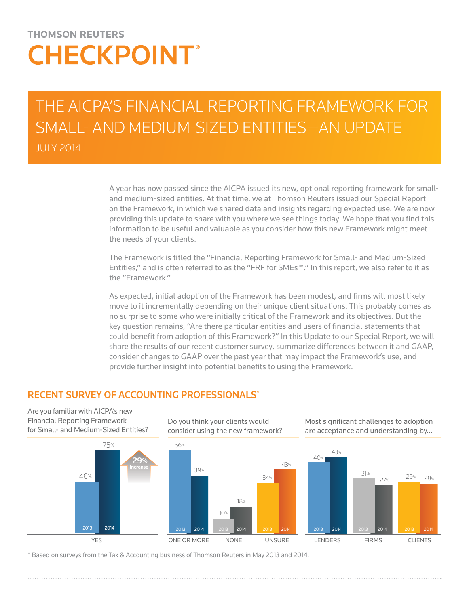# **THOMSON REUTERS CHECKPOINT®**

# THE AICPA'S FINANCIAL REPORTING FRAMEWORK FOR SMALL- AND MEDIUM-SIZED ENTITIES—AN UPDATE JULY 2014

A year has now passed since the AICPA issued its new, optional reporting framework for smalland medium-sized entities. At that time, we at Thomson Reuters issued our Special Report on the Framework, in which we shared data and insights regarding expected use. We are now providing this update to share with you where we see things today. We hope that you find this information to be useful and valuable as you consider how this new Framework might meet the needs of your clients.

The Framework is titled the "Financial Reporting Framework for Small- and Medium-Sized Entities," and is often referred to as the "FRF for SMEs™." In this report, we also refer to it as the "Framework."

As expected, initial adoption of the Framework has been modest, and firms will most likely move to it incrementally depending on their unique client situations. This probably comes as no surprise to some who were initially critical of the Framework and its objectives. But the key question remains, "Are there particular entities and users of financial statements that could benefit from adoption of this Framework?" In this Update to our Special Report, we will share the results of our recent customer survey, summarize differences between it and GAAP, consider changes to GAAP over the past year that may impact the Framework's use, and provide further insight into potential benefits to using the Framework.

# RECENT SURVEY OF ACCOUNTING PROFESSIONALS\*





Do you think your clients would consider using the new framework?



Most significant challenges to adoption are acceptance and understanding by...



\* Based on surveys from the Tax & Accounting business of Thomson Reuters in May 2013 and 2014.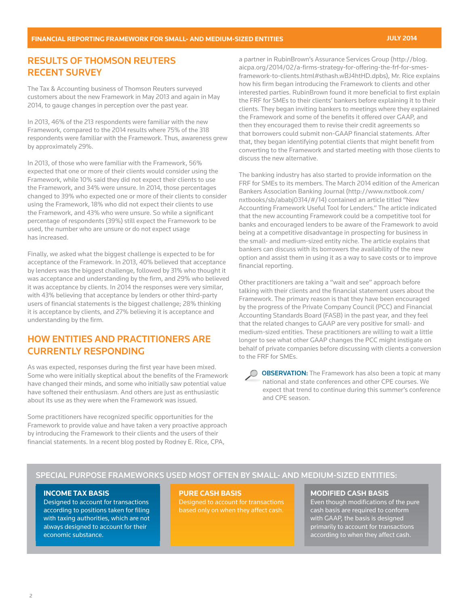# RESULTS OF THOMSON REUTERS RECENT SURVEY

The Tax & Accounting business of Thomson Reuters surveyed customers about the new Framework in May 2013 and again in May 2014, to gauge changes in perception over the past year.

In 2013, 46% of the 213 respondents were familiar with the new Framework, compared to the 2014 results where 75% of the 318 respondents were familiar with the Framework. Thus, awareness grew by approximately 29%.

In 2013, of those who were familiar with the Framework, 56% expected that one or more of their clients would consider using the Framework, while 10% said they did not expect their clients to use the Framework, and 34% were unsure. In 2014, those percentages changed to 39% who expected one or more of their clients to consider using the Framework, 18% who did not expect their clients to use the Framework, and 43% who were unsure. So while a significant percentage of respondents (39%) still expect the Framework to be used, the number who are unsure or do not expect usage has increased.

Finally, we asked what the biggest challenge is expected to be for acceptance of the Framework. In 2013, 40% believed that acceptance by lenders was the biggest challenge, followed by 31% who thought it was acceptance and understanding by the firm, and 29% who believed it was acceptance by clients. In 2014 the responses were very similar, with 43% believing that acceptance by lenders or other third-party users of financial statements is the biggest challenge; 28% thinking it is acceptance by clients, and 27% believing it is acceptance and understanding by the firm.

# HOW ENTITIES AND PRACTITIONERS ARE CURRENTLY RESPONDING

As was expected, responses during the first year have been mixed. Some who were initially skeptical about the benefits of the Framework have changed their minds, and some who initially saw potential value have softened their enthusiasm. And others are just as enthusiastic about its use as they were when the Framework was issued.

Some practitioners have recognized specific opportunities for the Framework to provide value and have taken a very proactive approach by introducing the Framework to their clients and the users of their financial statements. In a recent blog posted by Rodney E. Rice, CPA,

a partner in RubinBrown's Assurance Services Group (http://blog. aicpa.org/2014/02/a-firms-strategy-for-offering-the-frf-for-smesframework-to-clients.html#sthash.wBJ4htHD.dpbs), Mr. Rice explains how his firm began introducing the Framework to clients and other interested parties. RubinBrown found it more beneficial to first explain the FRF for SMEs to their clients' bankers before explaining it to their clients. They began inviting bankers to meetings where they explained the Framework and some of the benefits it offered over GAAP, and then they encouraged them to revise their credit agreements so that borrowers could submit non-GAAP financial statements. After that, they began identifying potential clients that might benefit from converting to the Framework and started meeting with those clients to discuss the new alternative.

The banking industry has also started to provide information on the FRF for SMEs to its members. The March 2014 edition of the American Bankers Association Banking Journal (http://www.nxtbook.com/ nxtbooks/sb/ababj0314/#/14) contained an article titled "New Accounting Framework Useful Tool for Lenders." The article indicated that the new accounting Framework could be a competitive tool for banks and encouraged lenders to be aware of the Framework to avoid being at a competitive disadvantage in prospecting for business in the small- and medium-sized entity niche. The article explains that bankers can discuss with its borrowers the availability of the new option and assist them in using it as a way to save costs or to improve financial reporting.

Other practitioners are taking a "wait and see" approach before talking with their clients and the financial statement users about the Framework. The primary reason is that they have been encouraged by the progress of the Private Company Council (PCC) and Financial Accounting Standards Board (FASB) in the past year, and they feel that the related changes to GAAP are very positive for small- and medium-sized entities. These practitioners are willing to wait a little longer to see what other GAAP changes the PCC might instigate on behalf of private companies before discussing with clients a conversion to the FRF for SMEs.

**OBSERVATION:** The Framework has also been a topic at many national and state conferences and other CPE courses. We expect that trend to continue during this summer's conference and CPE season.

### SPECIAL PURPOSE FRAMEWORKS USED MOST OFTEN BY SMALL- AND MEDIUM-SIZED ENTITIES:

### **INCOME TAX BASIS**

Designed to account for transactions according to positions taken for filing with taxing authorities, which are not always designed to account for their economic substance.

**PURE CASH BASIS** Designed to account for transactions based only on when they affect cash.

### **MODIFIED CASH BASIS**

Even though modifications of the pure cash basis are required to conform with GAAP, the basis is designed primarily to account for transactions according to when they affect cash.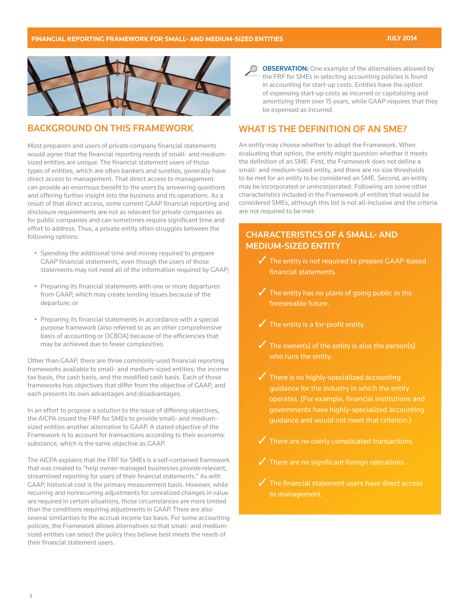

### BACKGROUND ON THIS FRAMEWORK

Most preparers and users of private company financial statements would agree that the financial reporting needs of small- and mediumsized entities are unique. The financial statement users of those types of entities, which are often bankers and sureties, generally have direct access to management. That direct access to management can provide an enormous benefit to the users by answering questions and offering further insight into the business and its operations. As a result of that direct access, some current GAAP financial reporting and disclosure requirements are not as relevant for private companies as for public companies and can sometimes require significant time and effort to address. Thus, a private entity often struggles between the following options:

- Spending the additional time and money required to prepare GAAP financial statements, even though the users of those statements may not need all of the information required by GAAP;
- Preparing its financial statements with one or more departures from GAAP, which may create lending issues because of the departure; or
- Preparing its financial statements in accordance with a special purpose framework (also referred to as an other comprehensive basis of accounting or OCBOA) because of the efficiencies that may be achieved due to fewer complexities.

Other than GAAP, there are three commonly-used financial reporting frameworks available to small- and medium-sized entities: the income tax basis, the cash basis, and the modified cash basis. Each of those frameworks has objectives that differ from the objective of GAAP, and each presents its own advantages and disadvantages.

In an effort to propose a solution to the issue of differing objectives, the AICPA issued the FRF for SMEs to provide small- and mediumsized entities another alternative to GAAP. A stated objective of the Framework is to account for transactions according to their economic substance, which is the same objective as GAAP.

The AICPA explains that the FRF for SMEs is a self-contained framework that was created to "help owner-managed businesses provide relevant, streamlined reporting for users of their financial statements." As with GAAP, historical cost is the primary measurement basis. However, while recurring and nonrecurring adjustments for unrealized changes in value are required in certain situations, those circumstances are more limited than the conditions requiring adjustments in GAAP. There are also several similarities to the accrual income tax basis. For some accounting policies, the Framework allows alternatives so that small- and mediumsized entities can select the policy they believe best meets the needs of their financial statement users.

**OBSERVATION:** One example of the alternatives allowed by O the FRF for SMEs in selecting accounting policies is found in accounting for start-up costs. Entities have the option of expensing start-up costs as incurred or capitalizing and amortizing them over 15 years, while GAAP requires that they be expensed as incurred.

### WHAT IS THE DEFINITION OF AN SME?

An entity may choose whether to adopt the Framework. When evaluating that option, the entity might question whether it meets the definition of an SME. First, the Framework does not define a small- and medium-sized entity, and there are no size thresholds to be met for an entity to be considered an SME. Second, an entity may be incorporated or unincorporated. Following are some other characteristics included in the Framework of entities that would be considered SMEs, although this list is not all-inclusive and the criteria are not required to be met:

### CHARACTERISTICS OF A SMALL- AND MEDIUM-SIZED ENTITY

- $\sqrt{\phantom{a}}$  The entity is not required to prepare GAAP-based financial statements.
- $\sqrt{\phantom{a}}$  The entity has no plans of going public in the foreseeable future.
- $\checkmark$  The entity is a for-profit entity.
- $\checkmark$  The owner(s) of the entity is also the person(s) who runs the entity.
- $\sqrt{\phantom{a}}$  There is no highly-specialized accounting guidance for the industry in which the entity operates. (For example, financial institutions and governments have highly-specialized accounting guidance and would not meet that criterion.)
- 
- $\sqrt{\phantom{a}}$  There are no significant foreign operations.
- $\sqrt{\phantom{a}}$  The financial statement users have direct access to management.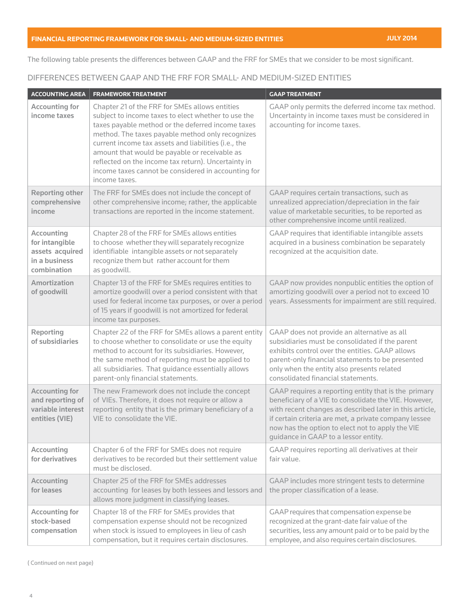The following table presents the differences between GAAP and the FRF for SMEs that we consider to be most significant.

### DIFFERENCES BETWEEN GAAP AND THE FRF FOR SMALL- AND MEDIUM-SIZED ENTITIES

| <b>ACCOUNTING AREA</b>                                                           | <b>FRAMEWORK TREATMENT</b>                                                                                                                                                                                                                                                                                                                                                                                                                             | <b>GAAP TREATMENT</b>                                                                                                                                                                                                                                                                                                         |
|----------------------------------------------------------------------------------|--------------------------------------------------------------------------------------------------------------------------------------------------------------------------------------------------------------------------------------------------------------------------------------------------------------------------------------------------------------------------------------------------------------------------------------------------------|-------------------------------------------------------------------------------------------------------------------------------------------------------------------------------------------------------------------------------------------------------------------------------------------------------------------------------|
| <b>Accounting for</b><br>income taxes                                            | Chapter 21 of the FRF for SMEs allows entities<br>subject to income taxes to elect whether to use the<br>taxes payable method or the deferred income taxes<br>method. The taxes payable method only recognizes<br>current income tax assets and liabilities (i.e., the<br>amount that would be payable or receivable as<br>reflected on the income tax return). Uncertainty in<br>income taxes cannot be considered in accounting for<br>income taxes. | GAAP only permits the deferred income tax method.<br>Uncertainty in income taxes must be considered in<br>accounting for income taxes.                                                                                                                                                                                        |
| <b>Reporting other</b><br>comprehensive<br>income                                | The FRF for SMEs does not include the concept of<br>other comprehensive income; rather, the applicable<br>transactions are reported in the income statement.                                                                                                                                                                                                                                                                                           | GAAP requires certain transactions, such as<br>unrealized appreciation/depreciation in the fair<br>value of marketable securities, to be reported as<br>other comprehensive income until realized.                                                                                                                            |
| Accounting<br>for intangible<br>assets acquired<br>in a business<br>combination  | Chapter 28 of the FRF for SMEs allows entities<br>to choose whether they will separately recognize<br>identifiable intangible assets or not separately<br>recognize them but rather account for them<br>as goodwill.                                                                                                                                                                                                                                   | GAAP requires that identifiable intangible assets<br>acquired in a business combination be separately<br>recognized at the acquisition date.                                                                                                                                                                                  |
| <b>Amortization</b><br>of goodwill                                               | Chapter 13 of the FRF for SMEs requires entities to<br>amortize goodwill over a period consistent with that<br>used for federal income tax purposes, or over a period<br>of 15 years if goodwill is not amortized for federal<br>income tax purposes.                                                                                                                                                                                                  | GAAP now provides nonpublic entities the option of<br>amortizing goodwill over a period not to exceed 10<br>years. Assessments for impairment are still required.                                                                                                                                                             |
| Reporting<br>of subsidiaries                                                     | Chapter 22 of the FRF for SMEs allows a parent entity<br>to choose whether to consolidate or use the equity<br>method to account for its subsidiaries. However,<br>the same method of reporting must be applied to<br>all subsidiaries. That guidance essentially allows<br>parent-only financial statements.                                                                                                                                          | GAAP does not provide an alternative as all<br>subsidiaries must be consolidated if the parent<br>exhibits control over the entities. GAAP allows<br>parent-only financial statements to be presented<br>only when the entity also presents related<br>consolidated financial statements.                                     |
| <b>Accounting for</b><br>and reporting of<br>variable interest<br>entities (VIE) | The new Framework does not include the concept<br>of VIEs. Therefore, it does not require or allow a<br>reporting entity that is the primary beneficiary of a<br>VIE to consolidate the VIE.                                                                                                                                                                                                                                                           | GAAP requires a reporting entity that is the primary<br>beneficiary of a VIE to consolidate the VIE. However,<br>with recent changes as described later in this article,<br>if certain criteria are met, a private company lessee<br>now has the option to elect not to apply the VIE<br>guidance in GAAP to a lessor entity. |
| Accounting<br>for derivatives                                                    | Chapter 6 of the FRF for SMEs does not require<br>derivatives to be recorded but their settlement value<br>must be disclosed.                                                                                                                                                                                                                                                                                                                          | GAAP requires reporting all derivatives at their<br>fair value.                                                                                                                                                                                                                                                               |
| Accounting<br>for leases                                                         | Chapter 25 of the FRF for SMEs addresses<br>accounting for leases by both lessees and lessors and<br>allows more judgment in classifying leases.                                                                                                                                                                                                                                                                                                       | GAAP includes more stringent tests to determine<br>the proper classification of a lease.                                                                                                                                                                                                                                      |
| <b>Accounting for</b><br>stock-based<br>compensation                             | Chapter 18 of the FRF for SMEs provides that<br>compensation expense should not be recognized<br>when stock is issued to employees in lieu of cash<br>compensation, but it requires certain disclosures.                                                                                                                                                                                                                                               | GAAP requires that compensation expense be<br>recognized at the grant-date fair value of the<br>securities, less any amount paid or to be paid by the<br>employee, and also requires certain disclosures.                                                                                                                     |

( Continued on next page)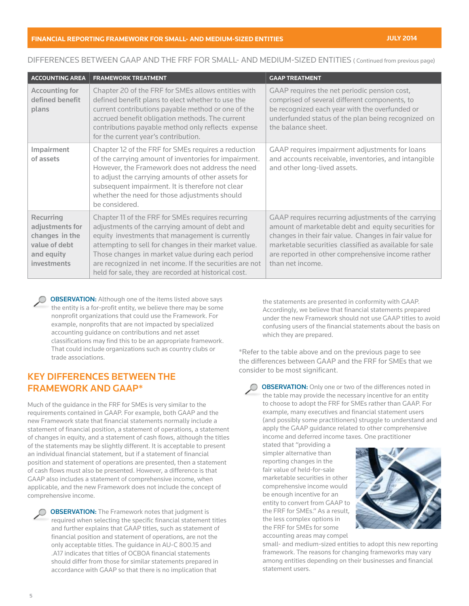### **FINANCIAL REPORTING FRAMEWORK FOR SMALL- AND MEDIUM-SIZED ENTITIES JULY 2014**

### DIFFERENCES BETWEEN GAAP AND THE FRF FOR SMALL- AND MEDIUM-SIZED ENTITIES ( Continued from previous page)

| <b>ACCOUNTING AREA</b>                                                                              | <b>FRAMEWORK TREATMENT</b>                                                                                                                                                                                                                                                                                                                                                             | <b>GAAP TREATMENT</b>                                                                                                                                                                                                                                                                                   |
|-----------------------------------------------------------------------------------------------------|----------------------------------------------------------------------------------------------------------------------------------------------------------------------------------------------------------------------------------------------------------------------------------------------------------------------------------------------------------------------------------------|---------------------------------------------------------------------------------------------------------------------------------------------------------------------------------------------------------------------------------------------------------------------------------------------------------|
| <b>Accounting for</b><br>defined benefit<br>plans                                                   | Chapter 20 of the FRF for SMEs allows entities with<br>defined benefit plans to elect whether to use the<br>current contributions payable method or one of the<br>accrued benefit obligation methods. The current<br>contributions payable method only reflects expense<br>for the current year's contribution.                                                                        | GAAP requires the net periodic pension cost,<br>comprised of several different components, to<br>be recognized each year with the overfunded or<br>underfunded status of the plan being recognized on<br>the balance sheet.                                                                             |
| Impairment<br>of assets                                                                             | Chapter 12 of the FRF for SMEs requires a reduction<br>of the carrying amount of inventories for impairment.<br>However, the Framework does not address the need<br>to adjust the carrying amounts of other assets for<br>subsequent impairment. It is therefore not clear<br>whether the need for those adjustments should<br>be considered.                                          | GAAP requires impairment adjustments for loans<br>and accounts receivable, inventories, and intangible<br>and other long-lived assets.                                                                                                                                                                  |
| Recurring<br>adjustments for<br>changes in the<br>value of debt<br>and equity<br><i>investments</i> | Chapter 11 of the FRF for SMEs requires recurring<br>adjustments of the carrying amount of debt and<br>equity investments that management is currently<br>attempting to sell for changes in their market value.<br>Those changes in market value during each period<br>are recognized in net income. If the securities are not<br>held for sale, they are recorded at historical cost. | GAAP requires recurring adjustments of the carrying<br>amount of marketable debt and equity securities for<br>changes in their fair value. Changes in fair value for<br>marketable securities classified as available for sale<br>are reported in other comprehensive income rather<br>than net income. |

**OBSERVATION:** Although one of the items listed above says the entity is a for-profit entity, we believe there may be some nonprofit organizations that could use the Framework. For example, nonprofits that are not impacted by specialized accounting guidance on contributions and net asset classifications may find this to be an appropriate framework. That could include organizations such as country clubs or trade associations.

## KEY DIFFERENCES BETWEEN THE FRAMEWORK AND GAAP\*

Much of the guidance in the FRF for SMEs is very similar to the requirements contained in GAAP. For example, both GAAP and the new Framework state that financial statements normally include a statement of financial position, a statement of operations, a statement of changes in equity, and a statement of cash flows, although the titles of the statements may be slightly different. It is acceptable to present an individual financial statement, but if a statement of financial position and statement of operations are presented, then a statement of cash flows must also be presented. However, a difference is that GAAP also includes a statement of comprehensive income, when applicable, and the new Framework does not include the concept of comprehensive income.

**OBSERVATION:** The Framework notes that judgment is required when selecting the specific financial statement titles and further explains that GAAP titles, such as statement of financial position and statement of operations, are not the only acceptable titles. The guidance in AU-C 800.15 and .A17 indicates that titles of OCBOA financial statements should differ from those for similar statements prepared in accordance with GAAP so that there is no implication that

the statements are presented in conformity with GAAP. Accordingly, we believe that financial statements prepared under the new Framework should not use GAAP titles to avoid confusing users of the financial statements about the basis on which they are prepared.

\*Refer to the table above and on the previous page to see the differences between GAAP and the FRF for SMEs that we consider to be most significant.

**OBSERVATION:** Only one or two of the differences noted in the table may provide the necessary incentive for an entity to choose to adopt the FRF for SMEs rather than GAAP. For example, many executives and financial statement users (and possibly some practitioners) struggle to understand and apply the GAAP guidance related to other comprehensive income and deferred income taxes. One practitioner

stated that "providing a simpler alternative than reporting changes in the fair value of held-for-sale marketable securities in other comprehensive income would be enough incentive for an entity to convert from GAAP to the FRF for SMEs." As a result, the less complex options in the FRF for SMEs for some accounting areas may compel



small- and medium-sized entities to adopt this new reporting framework. The reasons for changing frameworks may vary among entities depending on their businesses and financial statement users.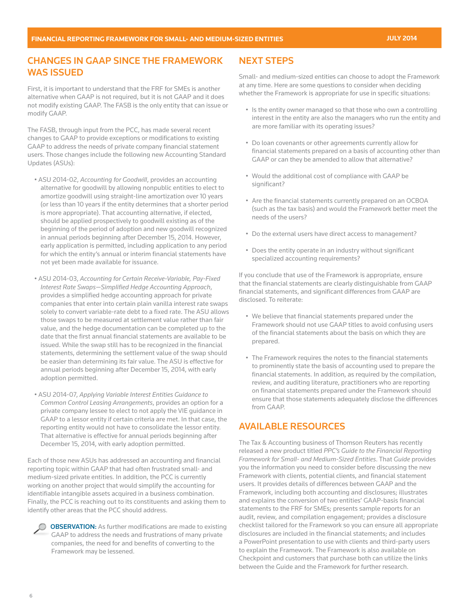### CHANGES IN GAAP SINCE THE FRAMEWORK WAS ISSUED

First, it is important to understand that the FRF for SMEs is another alternative when GAAP is not required, but it is not GAAP and it does not modify existing GAAP. The FASB is the only entity that can issue or modify GAAP.

The FASB, through input from the PCC, has made several recent changes to GAAP to provide exceptions or modifications to existing GAAP to address the needs of private company financial statement users. Those changes include the following new Accounting Standard Updates (ASUs):

- ASU 2014-02, *Accounting for Goodwill*, provides an accounting alternative for goodwill by allowing nonpublic entities to elect to amortize goodwill using straight-line amortization over 10 years (or less than 10 years if the entity determines that a shorter period is more appropriate). That accounting alternative, if elected, should be applied prospectively to goodwill existing as of the beginning of the period of adoption and new goodwill recognized in annual periods beginning after December 15, 2014. However, early application is permitted, including application to any period for which the entity's annual or interim financial statements have not yet been made available for issuance.
- ASU 2014-03, *Accounting for Certain Receive-Variable, Pay-Fixed Interest Rate Swaps—Simplified Hedge Accounting Approach*, provides a simplified hedge accounting approach for private companies that enter into certain plain vanilla interest rate swaps solely to convert variable-rate debt to a fixed rate. The ASU allows those swaps to be measured at settlement value rather than fair value, and the hedge documentation can be completed up to the date that the first annual financial statements are available to be issued. While the swap still has to be recognized in the financial statements, determining the settlement value of the swap should be easier than determining its fair value. The ASU is effective for annual periods beginning after December 15, 2014, with early adoption permitted.
- ASU 2014-07, *Applying Variable Interest Entities Guidance to Common Control Leasing Arrangements*, provides an option for a private company lessee to elect to not apply the VIE guidance in GAAP to a lessor entity if certain criteria are met. In that case, the reporting entity would not have to consolidate the lessor entity. That alternative is effective for annual periods beginning after December 15, 2014, with early adoption permitted.

Each of those new ASUs has addressed an accounting and financial reporting topic within GAAP that had often frustrated small- and medium-sized private entities. In addition, the PCC is currently working on another project that would simplify the accounting for identifiable intangible assets acquired in a business combination. Finally, the PCC is reaching out to its constituents and asking them to identify other areas that the PCC should address.



**OBSERVATION:** As further modifications are made to existing GAAP to address the needs and frustrations of many private companies, the need for and benefits of converting to the Framework may be lessened.

# NEXT STEPS

Small- and medium-sized entities can choose to adopt the Framework at any time. Here are some questions to consider when deciding whether the Framework is appropriate for use in specific situations:

- Is the entity owner managed so that those who own a controlling interest in the entity are also the managers who run the entity and are more familiar with its operating issues?
- Do loan covenants or other agreements currently allow for financial statements prepared on a basis of accounting other than GAAP or can they be amended to allow that alternative?
- Would the additional cost of compliance with GAAP be significant?
- Are the financial statements currently prepared on an OCBOA (such as the tax basis) and would the Framework better meet the needs of the users?
- Do the external users have direct access to management?
- Does the entity operate in an industry without significant specialized accounting requirements?

If you conclude that use of the Framework is appropriate, ensure that the financial statements are clearly distinguishable from GAAP financial statements, and significant differences from GAAP are disclosed. To reiterate:

- We believe that financial statements prepared under the Framework should not use GAAP titles to avoid confusing users of the financial statements about the basis on which they are prepared.
- The Framework requires the notes to the financial statements to prominently state the basis of accounting used to prepare the financial statements. In addition, as required by the compilation, review, and auditing literature, practitioners who are reporting on financial statements prepared under the Framework should ensure that those statements adequately disclose the differences from GAAP.

## AVAILABLE RESOURCES

The Tax & Accounting business of Thomson Reuters has recently released a new product titled *[PPC's Guide to the Financial Reporting](http://store.tax.thomsonreuters.com/accounting/Audit-and-Accounting/PPCs-Guide-to-the-Financial-Reporting-Framework-for-Small--and-Medium-sized-Entities/p/100262976?utm_source=SpecialReport&utm_medium=PDF&utm_campaign=AA_SR.FRF&cm_mmc=SpecialReport-_-PDF-_-X-_-AA_SR.FRF)  [Framework for Small- and Medium-Sized Entities](http://store.tax.thomsonreuters.com/accounting/Audit-and-Accounting/PPCs-Guide-to-the-Financial-Reporting-Framework-for-Small--and-Medium-sized-Entities/p/100262976?utm_source=SpecialReport&utm_medium=PDF&utm_campaign=AA_SR.FRF&cm_mmc=SpecialReport-_-PDF-_-X-_-AA_SR.FRF)*. That *Guide* provides you the information you need to consider before discussing the new Framework with clients, potential clients, and financial statement users. It provides details of differences between GAAP and the Framework, including both accounting and disclosures; illustrates and explains the conversion of two entities' GAAP-basis financial statements to the FRF for SMEs; presents sample reports for an audit, review, and compilation engagement; provides a disclosure checklist tailored for the Framework so you can ensure all appropriate disclosures are included in the financial statements; and includes a PowerPoint presentation to use with clients and third-party users to explain the Framework. The Framework is also available on Checkpoint and customers that purchase both can utilize the links between the Guide and the Framework for further research.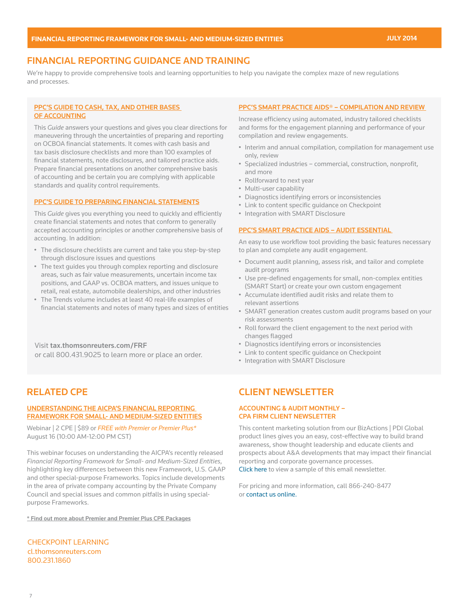## FINANCIAL REPORTING GUIDANCE AND TRAINING

We're happy to provide comprehensive tools and learning opportunities to help you navigate the complex maze of new regulations and processes.

#### [PPC'S GUIDE TO CASH, TAX, AND OTHER BASES](http://store.tax.thomsonreuters.com/accounting/Audit-and-Accounting/PPCs-Guide-to-Cash-Tax-and-Other-Bases-of-Accounting/p/100200150?utm_source=SpecialReport&utm_medium=PDF&utm_campaign=AA_SR.FRF&cm_mmc=SpecialReport-_-PDF-_-X-_-AA_SR.FRF)  [OF ACCOUNTING](http://store.tax.thomsonreuters.com/accounting/Audit-and-Accounting/PPCs-Guide-to-Cash-Tax-and-Other-Bases-of-Accounting/p/100200150?utm_source=SpecialReport&utm_medium=PDF&utm_campaign=AA_SR.FRF&cm_mmc=SpecialReport-_-PDF-_-X-_-AA_SR.FRF)

This *Guide* answers your questions and gives you clear directions for maneuvering through the uncertainties of preparing and reporting on OCBOA financial statements. It comes with cash basis and tax basis disclosure checklists and more than 100 examples of financial statements, note disclosures, and tailored practice aids. Prepare financial presentations on another comprehensive basis of accounting and be certain you are complying with applicable standards and quality control requirements.

#### [PPC'S GUIDE TO PREPARING FINANCIAL STATEMENTS](http://store.tax.thomsonreuters.com/accounting/Audit-and-Accounting/PPCs-Guide-to-Preparing-Financial-Statements/p/100200154?utm_source=SpecialReport&utm_medium=PDF&utm_campaign=AA_SR.FRF&cm_mmc=SpecialReport-_-PDF-_-X-_-AA_SR.FRF)

This *Guide* gives you everything you need to quickly and efficiently create financial statements and notes that conform to generally accepted accounting principles or another comprehensive basis of accounting. In addition:

- The disclosure checklists are current and take you step-by-step through disclosure issues and questions
- The text guides you through complex reporting and disclosure areas, such as fair value measurements, uncertain income tax positions, and GAAP vs. OCBOA matters, and issues unique to retail, real estate, automobile dealerships, and other industries
- The Trends volume includes at least 40 real-life examples of financial statements and notes of many types and sizes of entities

Visit [tax.thomsonreuters.com/FRF](http://tax.thomsonreuters.com/FRF?utm_source=SpecialReport&utm_medium=PDF&utm_campaign=AA_SR.FRF&cm_mmc=SpecialReport-_-PDF-_-X-_-AA_SR.FRF) or call 800.431.9025 to learn more or place an order.

## [RELATED CPE](http://cl.thomsonreuters.com/CourseFinder/Search?keyword=CLLEAS,JTLEAS,W84T )

#### [UNDERSTANDING THE AICPA'S FINANCIAL REPORTING](http://cl.thomsonreuters.com/CourseFinder/CourseDetails/5638)  [FRAMEWORK FOR SMALL- AND MEDIUM-SIZED ENTITIES](http://cl.thomsonreuters.com/CourseFinder/CourseDetails/5638)

Webinar | 2 CPE | \$89 or *FREE with Premier or Premier Plus\** August 16 (10:00 AM-12:00 PM CST)

This webinar focuses on understanding the AICPA's recently released *Financial Reporting Framework for Small- and Medium-Sized Entities*, highlighting key differences between this new Framework, U.S. GAAP and other special-purpose Frameworks. Topics include developments in the area of private company accounting by the Private Company Council and special issues and common pitfalls in using specialpurpose Frameworks.

[\\* Find out more about Premier and Premier Plus CPE Packages](http://cl.thomsonreuters.com/Bundle/Index)

[CHECKPOINT LEARNING](http://cl.thomsonreuters.com) [cl.thomsonreuters.com](http://cl.thomsonreuters.com) [800.231.1860](http://cl.thomsonreuters.com)

#### [PPC'S SMART PRACTICE AIDS® – COMPILATION AND REVIEW](http://store.tax.thomsonreuters.com/accounting/Audit-and-Accounting/PPCs-SMART-Practice-Aids-Compilation-and-Review/p/100201762?utm_source=SpecialReport&utm_medium=PDF&utm_campaign=AA_SR.FRF&cm_mmc=SpecialReport-_-PDF-_-X-_-AA_SR.FRF)

Increase efficiency using automated, industry tailored checklists and forms for the engagement planning and performance of your compilation and review engagements.

- Interim and annual compilation, compilation for management use only, review
- Specialized industries commercial, construction, nonprofit, and more
- Rollforward to next year
- Multi-user capability
- Diagnostics identifying errors or inconsistencies
- Link to content specific guidance on Checkpoint
- Integration with SMART Disclosure

#### [PPC'S SMART PRACTICE AIDS – AUDIT ESSENTIAL](https://tax.thomsonreuters.com/auditessential?utm_source=SpecialReport&utm_medium=PDF&utm_campaign=AA_SR.FRF&cm_mmc=SpecialReport-_-PDF-_-X-_-AA_SR.FRF)

An easy to use workflow tool providing the basic features necessary to plan and complete any audit engagement.

- Document audit planning, assess risk, and tailor and complete audit programs
- Use pre-defined engagements for small, non-complex entities (SMART Start) or create your own custom engagement
- Accumulate identified audit risks and relate them to relevant assertions
- SMART generation creates custom audit programs based on your risk assessments
- Roll forward the client engagement to the next period with changes flagged
- Diagnostics identifying errors or inconsistencies
- Link to content specific guidance on Checkpoint
- Integration with SMART Disclosure

### CLIENT NEWSLETTER

### ACCOUNTING & AUDIT MONTHLY – CPA FIRM CLIENT NEWSLETTER

This content marketing solution from our BizActions | PDI Global product lines gives you an easy, cost-effective way to build brand awareness, show thought leadership and educate clients and prospects about A&A developments that may impact their financial reporting and corporate governance processes. [Click here to view a sample of this email newsletter.](http://pdiglobal.com/content-publications/newsletter-programs/accounting-consulting-firms/industry-specific-niches/accounting-audit-monthly/) 

For pricing and more information, call 866-240-8477 or [contact us online.](http://pdiglobal.com/content-publications/newsletter-programs/accounting-consulting-firms/industry-specific-niches/accounting-audit-monthly/)